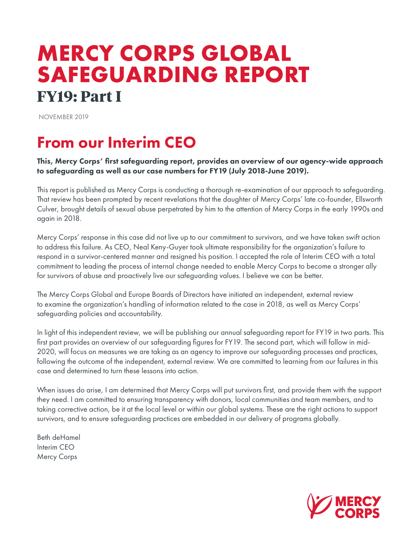# **MERCY CORPS GLOBAL SAFEGUARDING REPORT FY19: Part I**

NOVEMBER 2019

### From our Interim CEO

This, Mercy Corps' first safeguarding report, provides an overview of our agency-wide approach to safeguarding as well as our case numbers for FY19 (July 2018-June 2019).

This report is published as Mercy Corps is conducting a thorough re-examination of our approach to safeguarding. That review has been prompted by recent revelations that the daughter of Mercy Corps' late co-founder, Ellsworth Culver, brought details of sexual abuse perpetrated by him to the attention of Mercy Corps in the early 1990s and again in 2018.

Mercy Corps' response in this case did not live up to our commitment to survivors, and we have taken swift action to address this failure. As CEO, Neal Keny-Guyer took ultimate responsibility for the organization's failure to respond in a survivor-centered manner and resigned his position. I accepted the role of Interim CEO with a total commitment to leading the process of internal change needed to enable Mercy Corps to become a stronger ally for survivors of abuse and proactively live our safeguarding values. I believe we can be better.

The Mercy Corps Global and Europe Boards of Directors have initiated an independent, external review to examine the organization's handling of information related to the case in 2018, as well as Mercy Corps' safeguarding policies and accountability.

In light of this independent review, we will be publishing our annual safeguarding report for FY19 in two parts. This first part provides an overview of our safeguarding figures for FY19. The second part, which will follow in mid-2020, will focus on measures we are taking as an agency to improve our safeguarding processes and practices, following the outcome of the independent, external review. We are committed to learning from our failures in this case and determined to turn these lessons into action.

When issues do arise, I am determined that Mercy Corps will put survivors first, and provide them with the support they need. I am committed to ensuring transparency with donors, local communities and team members, and to taking corrective action, be it at the local level or within our global systems. These are the right actions to support survivors, and to ensure safeguarding practices are embedded in our delivery of programs globally.

Beth deHamel Interim CEO Mercy Corps

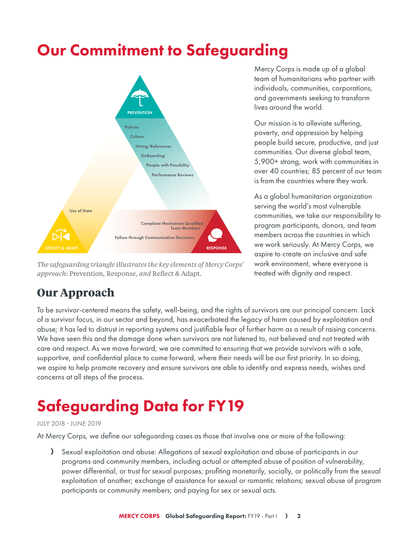### Our Commitment to Safeguarding



*The safeguarding triangle illustrates the key elements of Mercy Corps' approach:* Prevention*,* Response*, and* Reflect & Adapt*.*

Mercy Corps is made up of a global team of humanitarians who partner with individuals, communities, corporations, and governments seeking to transform lives around the world.

Our mission is to alleviate suffering, poverty, and oppression by helping people build secure, productive, and just communities. Our diverse global team, 5,900+ strong, work with communities in over 40 countries; 85 percent of our team is from the countries where they work.

As a global humanitarian organization serving the world's most vulnerable communities, we take our responsibility to program participants, donors, and team members across the countries in which we work seriously. At Mercy Corps, we aspire to create an inclusive and safe work environment, where everyone is treated with dignity and respect.

### **Our Approach**

To be survivor-centered means the safety, well-being, and the rights of survivors are our principal concern. Lack of a survivor focus, in our sector and beyond, has exacerbated the legacy of harm caused by exploitation and abuse; it has led to distrust in reporting systems and justifiable fear of further harm as a result of raising concerns. We have seen this and the damage done when survivors are not listened to, not believed and not treated with care and respect. As we move forward, we are committed to ensuring that we provide survivors with a safe, supportive, and confidential place to come forward, where their needs will be our first priority. In so doing, we aspire to help promote recovery and ensure survivors are able to identify and express needs, wishes and concerns at all steps of the process.

# Safeguarding Data for FY19

#### JULY 2018 - JUNE 2019

At Mercy Corps, we define our safeguarding cases as those that involve one or more of the following:

A Sexual exploitation and abuse: Allegations of sexual exploitation and abuse of participants in our programs and community members, including actual or attempted abuse of position of vulnerability, power differential, or trust for sexual purposes; profiting monetarily, socially, or politically from the sexual exploitation of another; exchange of assistance for sexual or romantic relations; sexual abuse of program participants or community members; and paying for sex or sexual acts.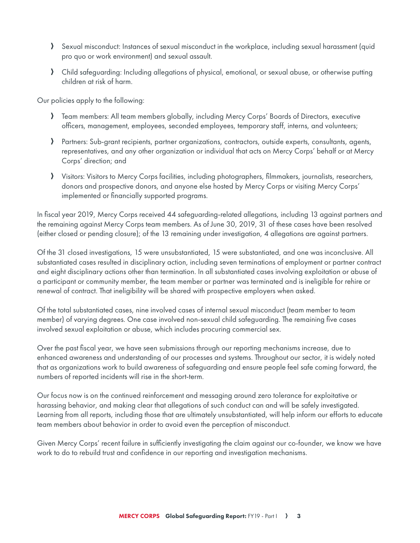- A Sexual misconduct: Instances of sexual misconduct in the workplace, including sexual harassment (quid pro quo or work environment) and sexual assault.
- A Child safeguarding: Including allegations of physical, emotional, or sexual abuse, or otherwise putting children at risk of harm.

Our policies apply to the following:

- A Team members: All team members globally, including Mercy Corps' Boards of Directors, executive officers, management, employees, seconded employees, temporary staff, interns, and volunteers;
- A Partners: Sub-grant recipients, partner organizations, contractors, outside experts, consultants, agents, representatives, and any other organization or individual that acts on Mercy Corps' behalf or at Mercy Corps' direction; and
- A Visitors: Visitors to Mercy Corps facilities, including photographers, filmmakers, journalists, researchers, donors and prospective donors, and anyone else hosted by Mercy Corps or visiting Mercy Corps' implemented or financially supported programs.

In fiscal year 2019, Mercy Corps received 44 safeguarding-related allegations, including 13 against partners and the remaining against Mercy Corps team members. As of June 30, 2019, 31 of these cases have been resolved (either closed or pending closure); of the 13 remaining under investigation, 4 allegations are against partners.

Of the 31 closed investigations, 15 were unsubstantiated, 15 were substantiated, and one was inconclusive. All substantiated cases resulted in disciplinary action, including seven terminations of employment or partner contract and eight disciplinary actions other than termination. In all substantiated cases involving exploitation or abuse of a participant or community member, the team member or partner was terminated and is ineligible for rehire or renewal of contract. That ineligibility will be shared with prospective employers when asked.

Of the total substantiated cases, nine involved cases of internal sexual misconduct (team member to team member) of varying degrees. One case involved non-sexual child safeguarding. The remaining five cases involved sexual exploitation or abuse, which includes procuring commercial sex.

Over the past fiscal year, we have seen submissions through our reporting mechanisms increase, due to enhanced awareness and understanding of our processes and systems. Throughout our sector, it is widely noted that as organizations work to build awareness of safeguarding and ensure people feel safe coming forward, the numbers of reported incidents will rise in the short-term.

Our focus now is on the continued reinforcement and messaging around zero tolerance for exploitative or harassing behavior, and making clear that allegations of such conduct can and will be safely investigated. Learning from all reports, including those that are ultimately unsubstantiated, will help inform our efforts to educate team members about behavior in order to avoid even the perception of misconduct.

Given Mercy Corps' recent failure in sufficiently investigating the claim against our co-founder, we know we have work to do to rebuild trust and confidence in our reporting and investigation mechanisms.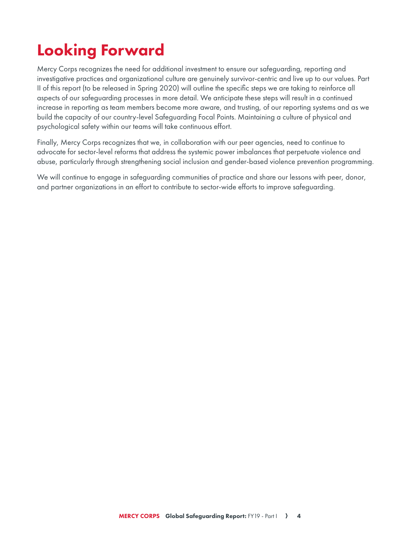## Looking Forward

Mercy Corps recognizes the need for additional investment to ensure our safeguarding, reporting and investigative practices and organizational culture are genuinely survivor-centric and live up to our values. Part II of this report (to be released in Spring 2020) will outline the specific steps we are taking to reinforce all aspects of our safeguarding processes in more detail. We anticipate these steps will result in a continued increase in reporting as team members become more aware, and trusting, of our reporting systems and as we build the capacity of our country-level Safeguarding Focal Points. Maintaining a culture of physical and psychological safety within our teams will take continuous effort.

Finally, Mercy Corps recognizes that we, in collaboration with our peer agencies, need to continue to advocate for sector-level reforms that address the systemic power imbalances that perpetuate violence and abuse, particularly through strengthening social inclusion and gender-based violence prevention programming.

We will continue to engage in safeguarding communities of practice and share our lessons with peer, donor, and partner organizations in an effort to contribute to sector-wide efforts to improve safeguarding.